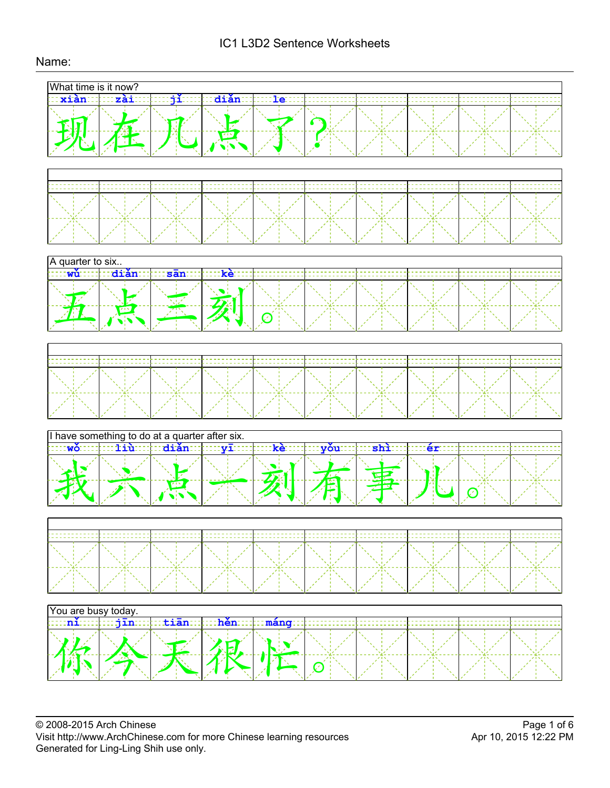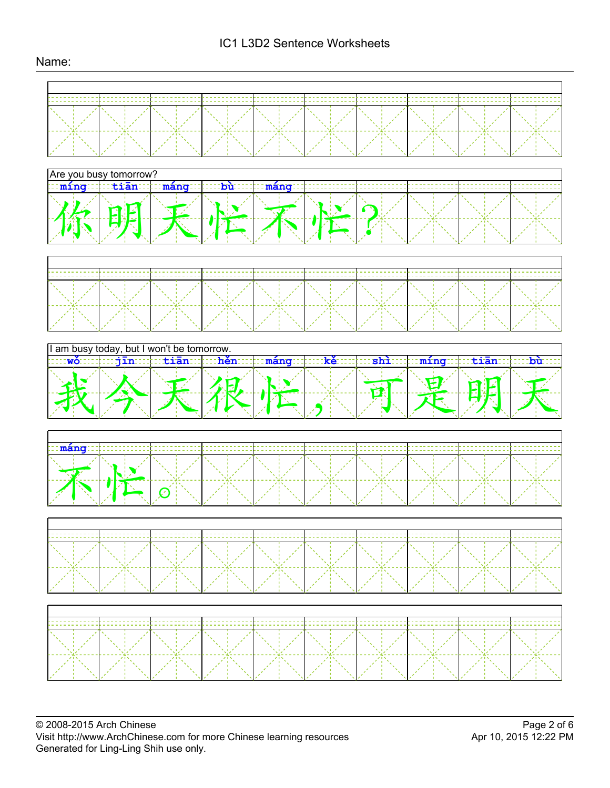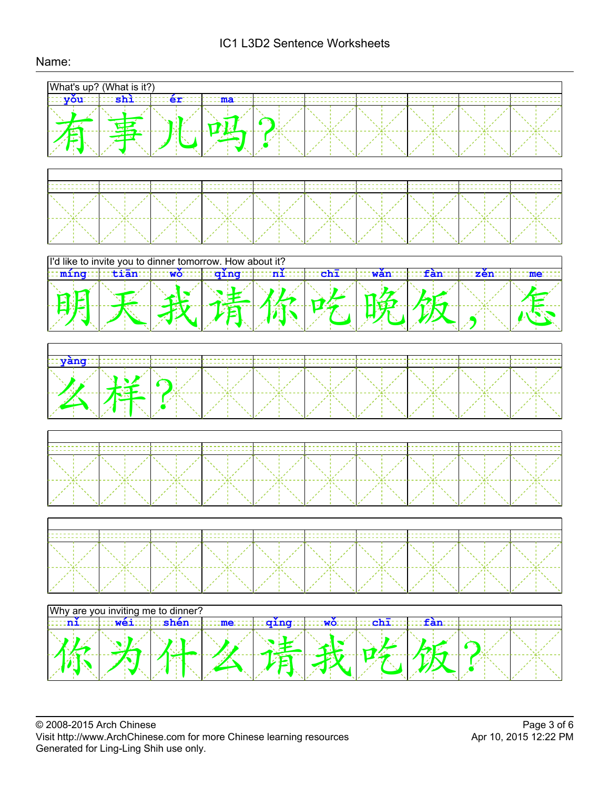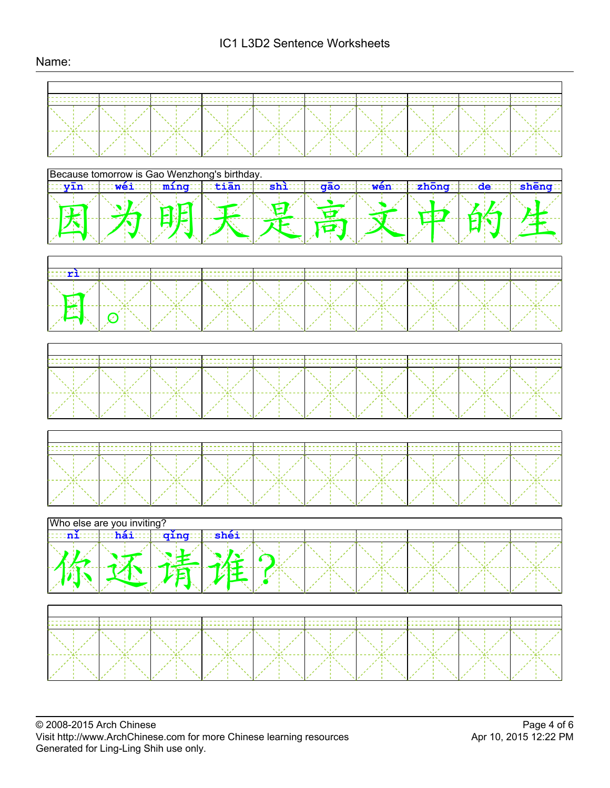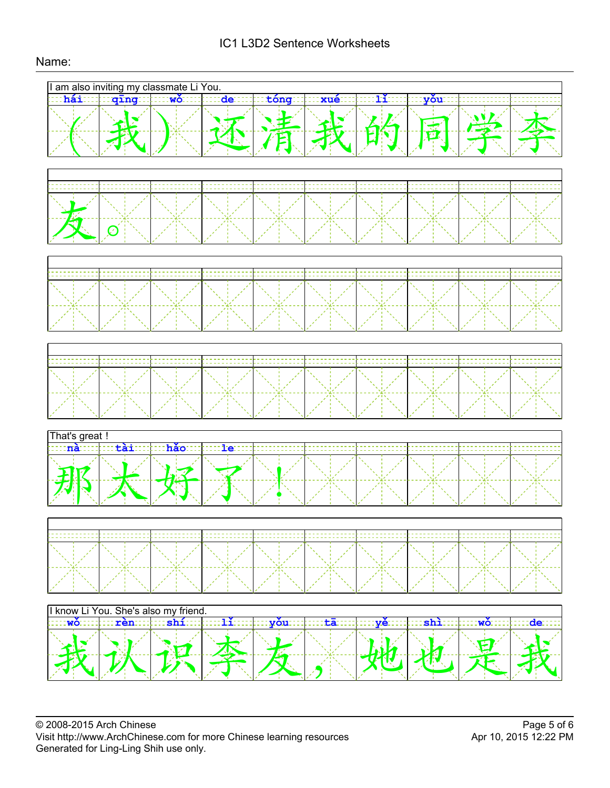# IC1 L3D2 Sentence Worksheets